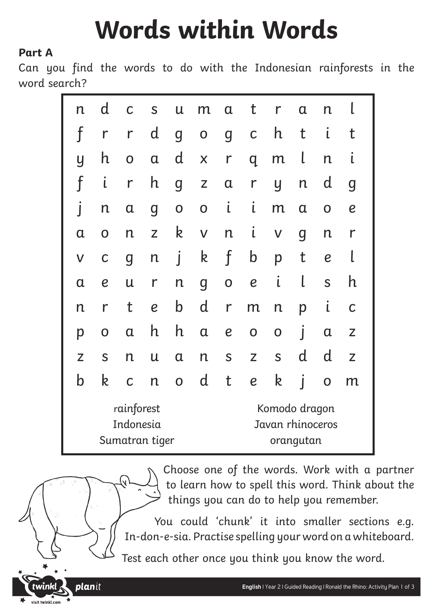# **Words within Words**

#### **Part A**

planit

visit twinkl.com

Can you find the words to do with the Indonesian rainforests in the word search?

| n                                         | d                | C                       | S                | U                                                                                  | m                  | $\mathbf a$      | t                                              | r            | $\alpha$                | n                |                  |  |
|-------------------------------------------|------------------|-------------------------|------------------|------------------------------------------------------------------------------------|--------------------|------------------|------------------------------------------------|--------------|-------------------------|------------------|------------------|--|
| f                                         | $\mathsf{r}$     | $\mathsf{r}$            | $\mathsf{d}$     | $\overline{g}$                                                                     | $\mathbf 0$        | $\boldsymbol{g}$ | $\mathsf C$                                    | h            | t                       | Ĺ                | t                |  |
| y                                         | h                | $\overline{\textbf{O}}$ | $\alpha$         | $\mathsf{d}$                                                                       | X                  | $\mathsf{r}$     | q                                              | m            | l                       | n                | ι                |  |
| $\mathbf f$                               | $\mathfrak{i}$   | $\mathsf{r}$            | h                | $\overline{g}$                                                                     | $\mathsf{Z}% _{0}$ | $\alpha$         | r                                              | y            | $\mathsf{n}$            | d                | g                |  |
|                                           | $\mathsf{n}$     | $\alpha$                | $\boldsymbol{g}$ | $\mathbf 0$                                                                        | $\overline{O}$     | $\mathbf{I}$     | $\mathsf{L}$                                   | m            | $\alpha$                | $\mathbf 0$      | $\boldsymbol{e}$ |  |
| $\mathbf a$                               | O                | n                       | Z                | k                                                                                  | $\mathsf V$        | $\mathsf{n}$     | $\mathsf{L}$                                   | $\mathsf V$  | g                       | $\mathsf{n}$     | r                |  |
| $\sf V$                                   | $\mathsf C$      | $\overline{g}$          | $\mathsf{n}$     | Í                                                                                  | k                  | f                | $\mathsf b$                                    | p            | t                       | $\boldsymbol{e}$ |                  |  |
| $\alpha$                                  | $\boldsymbol{e}$ | $\mathsf u$             | $\mathsf{r}$     | $\mathsf{n}$                                                                       | $\overline{g}$     | $\mathbf 0$      | $\boldsymbol{e}$                               | $\mathbf{I}$ | l                       | S                | h                |  |
| n                                         | r                | t                       | $\boldsymbol{e}$ | $\mathsf b$                                                                        | $\mathsf{d}$       | $\mathsf{r}$     | m                                              | $\mathsf{n}$ | p                       | $\mathfrak{i}$   | C                |  |
| p                                         | $\overline{O}$   | $\alpha$                | h                | $\mathsf{h}% _{1}\left( \mathsf{h}\right) =\mathsf{h}_{1}\left( \mathsf{h}\right)$ | $\alpha$           | $\boldsymbol{e}$ | $\mathbf 0$                                    | $\mathbf 0$  | $\overline{\mathbf{I}}$ | $\mathfrak a$    | Z                |  |
| $\overline{Z}$                            | S                | $\overline{n}$          | $\mathsf{u}$     | $\alpha$                                                                           | $\mathsf{n}$       | S                | Z                                              | S            | d                       | d                | Z                |  |
| b                                         | k                | $\mathsf C$             | $\mathsf{n}$     | $\overline{O}$                                                                     | d                  | t                | $\boldsymbol{e}$                               | k            | j                       | $\mathbf 0$      | m                |  |
| rainforest<br>Indonesia<br>Sumatran tiger |                  |                         |                  |                                                                                    |                    |                  | Komodo dragon<br>Javan rhinoceros<br>orangutan |              |                         |                  |                  |  |

Choose one of the words. Work with a partner to learn how to spell this word. Think about the things you can do to help you remember.

You could 'chunk' it into smaller sections e.g. In-don-e-sia. Practise spelling your word on a whiteboard.

Test each other once you think you know the word.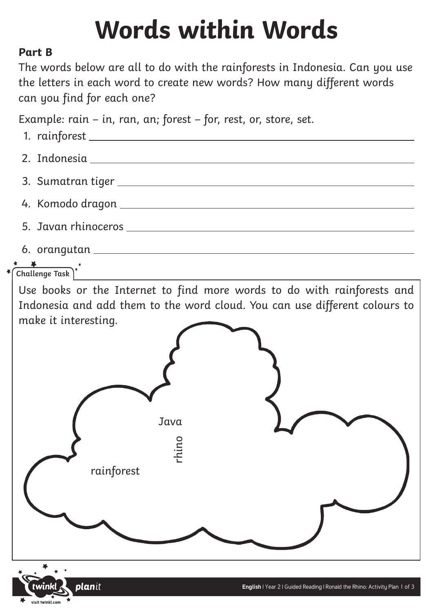# **Words within Words**

#### **Part B**

The words below are all to do with the rainforests in Indonesia. Can you use the letters in each word to create new words? How many different words can you find for each one?

Example: rain – in, ran, an; forest – for, rest, or, store, set.

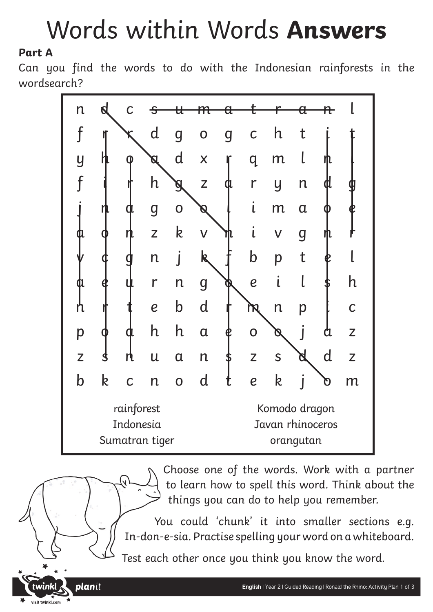### Words within Words **Answers**

### **Part A**

planit

visit twinkl.com

Can you find the words to do with the Indonesian rainforests in the wordsearch?



Choose one of the words. Work with a partner to learn how to spell this word. Think about the things you can do to help you remember.

You could 'chunk' it into smaller sections e.g. In-don-e-sia. Practise spelling your word on a whiteboard.

Test each other once you think you know the word.